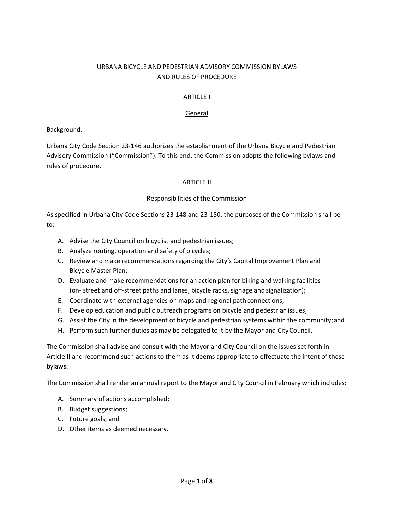# URBANA BICYCLE AND PEDESTRIAN ADVISORY COMMISSION BYLAWS AND RULES OF PROCEDURE

## ARTICLE I

### General

### Background.

Urbana City Code Section 23‐146 authorizes the establishment of the Urbana Bicycle and Pedestrian Advisory Commission ("Commission"). To this end, the Commission adopts the following bylaws and rules of procedure.

### ARTICLE II

### Responsibilities of the Commission

As specified in Urbana City Code Sections 23‐148 and 23‐150, the purposes of the Commission shall be to:

- A. Advise the City Council on bicyclist and pedestrian issues;
- B. Analyze routing, operation and safety of bicycles;
- C. Review and make recommendations regarding the City's Capital Improvement Plan and Bicycle Master Plan;
- D. Evaluate and make recommendations for an action plan for biking and walking facilities (on‐ street and off‐street paths and lanes, bicycle racks, signage and signalization);
- E. Coordinate with external agencies on maps and regional path connections;
- F. Develop education and public outreach programs on bicycle and pedestrian issues;
- G. Assist the City in the development of bicycle and pedestrian systems within the community; and
- H. Perform such further duties as may be delegated to it by the Mayor and City Council.

The Commission shall advise and consult with the Mayor and City Council on the issues set forth in Article II and recommend such actions to them as it deems appropriate to effectuate the intent of these bylaws.

The Commission shall render an annual report to the Mayor and City Council in February which includes:

- A. Summary of actions accomplished:
- B. Budget suggestions;
- C. Future goals; and
- D. Other items as deemed necessary.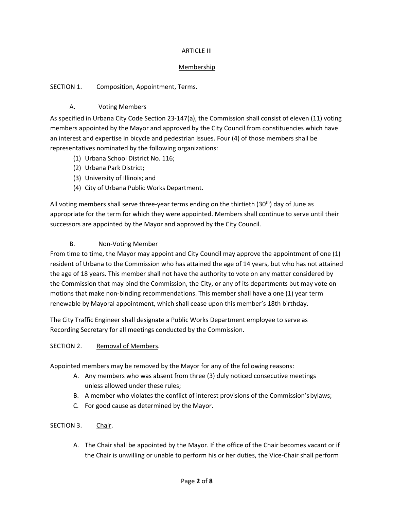# ARTICLE III

# **Membership**

# SECTION 1. Composition, Appointment, Terms.

# A. Voting Members

As specified in Urbana City Code Section 23‐147(a), the Commission shall consist of eleven (11) voting members appointed by the Mayor and approved by the City Council from constituencies which have an interest and expertise in bicycle and pedestrian issues. Four (4) of those members shall be representatives nominated by the following organizations:

- (1) Urbana School District No. 116;
- (2) Urbana Park District;
- (3) University of Illinois; and
- (4) City of Urbana Public Works Department.

All voting members shall serve three-year terms ending on the thirtieth (30<sup>th</sup>) day of June as appropriate for the term for which they were appointed. Members shall continue to serve until their successors are appointed by the Mayor and approved by the City Council.

# B. Non‐Voting Member

From time to time, the Mayor may appoint and City Council may approve the appointment of one (1) resident of Urbana to the Commission who has attained the age of 14 years, but who has not attained the age of 18 years. This member shall not have the authority to vote on any matter considered by the Commission that may bind the Commission, the City, or any of its departments but may vote on motions that make non-binding recommendations. This member shall have a one (1) year term renewable by Mayoral appointment, which shall cease upon this member's 18th birthday.

The City Traffic Engineer shall designate a Public Works Department employee to serve as Recording Secretary for all meetings conducted by the Commission.

### SECTION 2. Removal of Members.

Appointed members may be removed by the Mayor for any of the following reasons:

- A. Any members who was absent from three (3) duly noticed consecutive meetings unless allowed under these rules;
- B. A member who violates the conflict of interest provisions of the Commission's bylaws;
- C. For good cause as determined by the Mayor.

# SECTION 3. Chair.

A. The Chair shall be appointed by the Mayor. If the office of the Chair becomes vacant or if the Chair is unwilling or unable to perform his or her duties, the Vice‐Chair shall perform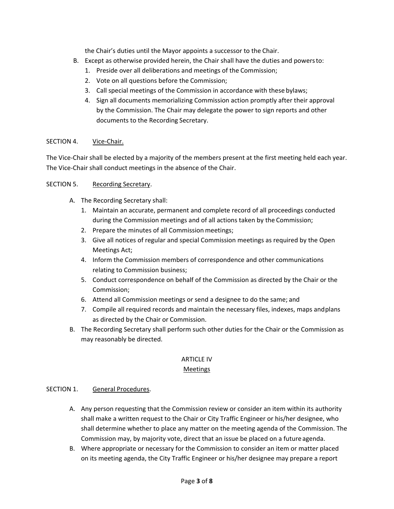the Chair's duties until the Mayor appoints a successor to the Chair.

- B. Except as otherwise provided herein, the Chair shall have the duties and powers to:
	- 1. Preside over all deliberations and meetings of the Commission;
	- 2. Vote on all questions before the Commission;
	- 3. Call special meetings of the Commission in accordance with these bylaws;
	- 4. Sign all documents memorializing Commission action promptly after their approval by the Commission. The Chair may delegate the power to sign reports and other documents to the Recording Secretary.

# SECTION 4. Vice-Chair.

The Vice‐Chair shall be elected by a majority of the members present at the first meeting held each year. The Vice-Chair shall conduct meetings in the absence of the Chair.

# SECTION 5. Recording Secretary.

- A. The Recording Secretary shall:
	- 1. Maintain an accurate, permanent and complete record of all proceedings conducted during the Commission meetings and of all actions taken by the Commission;
	- 2. Prepare the minutes of all Commission meetings;
	- 3. Give all notices of regular and special Commission meetings as required by the Open Meetings Act;
	- 4. Inform the Commission members of correspondence and other communications relating to Commission business;
	- 5. Conduct correspondence on behalf of the Commission as directed by the Chair or the Commission;
	- 6. Attend all Commission meetings or send a designee to do the same; and
	- 7. Compile all required records and maintain the necessary files, indexes, maps and plans as directed by the Chair or Commission.
- B. The Recording Secretary shall perform such other duties for the Chair or the Commission as may reasonably be directed.

# ARTICLE IV

### Meetings

### SECTION 1. General Procedures.

- A. Any person requesting that the Commission review or consider an item within its authority shall make a written request to the Chair or City Traffic Engineer or his/her designee, who shall determine whether to place any matter on the meeting agenda of the Commission. The Commission may, by majority vote, direct that an issue be placed on a future agenda.
- B. Where appropriate or necessary for the Commission to consider an item or matter placed on its meeting agenda, the City Traffic Engineer or his/her designee may prepare a report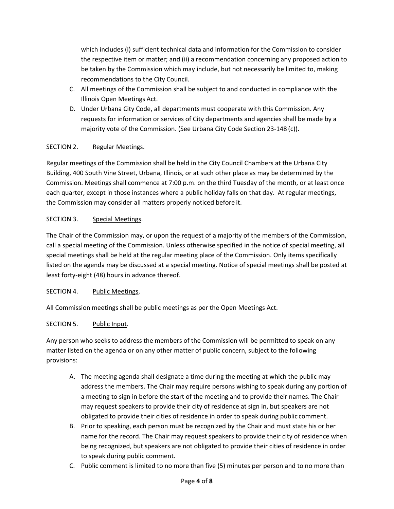which includes (i) sufficient technical data and information for the Commission to consider the respective item or matter; and (ii) a recommendation concerning any proposed action to be taken by the Commission which may include, but not necessarily be limited to, making recommendations to the City Council.

- C. All meetings of the Commission shall be subject to and conducted in compliance with the Illinois Open Meetings Act.
- D. Under Urbana City Code, all departments must cooperate with this Commission. Any requests for information or services of City departments and agencies shall be made by a majority vote of the Commission. (See Urbana City Code Section 23‐148 (c)).

# SECTION 2. Regular Meetings.

Regular meetings of the Commission shall be held in the City Council Chambers at the Urbana City Building, 400 South Vine Street, Urbana, Illinois, or at such other place as may be determined by the Commission. Meetings shall commence at 7:00 p.m. on the third Tuesday of the month, or at least once each quarter, except in those instances where a public holiday falls on that day. At regular meetings, the Commission may consider all matters properly noticed before it.

# SECTION 3. Special Meetings.

The Chair of the Commission may, or upon the request of a majority of the members of the Commission, call a special meeting of the Commission. Unless otherwise specified in the notice of special meeting, all special meetings shall be held at the regular meeting place of the Commission. Only items specifically listed on the agenda may be discussed at a special meeting. Notice of special meetings shall be posted at least forty‐eight (48) hours in advance thereof.

# SECTION 4. Public Meetings.

All Commission meetings shall be public meetings as per the Open Meetings Act.

# SECTION 5. Public Input.

Any person who seeks to address the members of the Commission will be permitted to speak on any matter listed on the agenda or on any other matter of public concern, subject to the following provisions:

- A. The meeting agenda shall designate a time during the meeting at which the public may address the members. The Chair may require persons wishing to speak during any portion of a meeting to sign in before the start of the meeting and to provide their names. The Chair may request speakers to provide their city of residence at sign in, but speakers are not obligated to provide their cities of residence in order to speak during public comment.
- B. Prior to speaking, each person must be recognized by the Chair and must state his or her name for the record. The Chair may request speakers to provide their city of residence when being recognized, but speakers are not obligated to provide their cities of residence in order to speak during public comment.
- C. Public comment is limited to no more than five (5) minutes per person and to no more than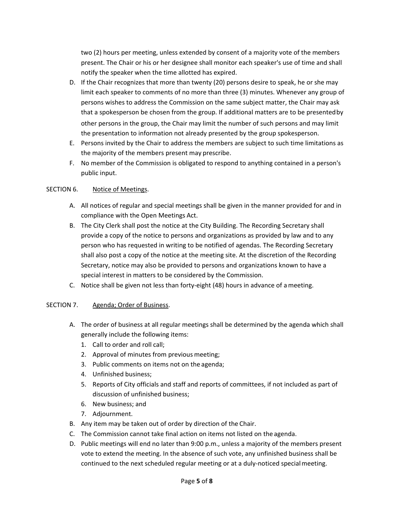two (2) hours per meeting, unless extended by consent of a majority vote of the members present. The Chair or his or her designee shall monitor each speaker's use of time and shall notify the speaker when the time allotted has expired.

- D. If the Chair recognizes that more than twenty (20) persons desire to speak, he or she may limit each speaker to comments of no more than three (3) minutes. Whenever any group of persons wishes to address the Commission on the same subject matter, the Chair may ask that a spokesperson be chosen from the group. If additional matters are to be presented by other persons in the group, the Chair may limit the number of such persons and may limit the presentation to information not already presented by the group spokesperson.
- E. Persons invited by the Chair to address the members are subject to such time limitations as the majority of the members present may prescribe.
- F. No member of the Commission is obligated to respond to anything contained in a person's public input.

### SECTION 6. Notice of Meetings.

- A. All notices of regular and special meetings shall be given in the manner provided for and in compliance with the Open Meetings Act.
- B. The City Clerk shall post the notice at the City Building. The Recording Secretary shall provide a copy of the notice to persons and organizations as provided by law and to any person who has requested in writing to be notified of agendas. The Recording Secretary shall also post a copy of the notice at the meeting site. At the discretion of the Recording Secretary, notice may also be provided to persons and organizations known to have a special interest in matters to be considered by the Commission.
- C. Notice shall be given not less than forty‐eight (48) hours in advance of a meeting.

### SECTION 7. Agenda; Order of Business.

- A. The order of business at all regular meetings shall be determined by the agenda which shall generally include the following items:
	- 1. Call to order and roll call;
	- 2. Approval of minutes from previous meeting;
	- 3. Public comments on items not on the agenda;
	- 4. Unfinished business;
	- 5. Reports of City officials and staff and reports of committees, if not included as part of discussion of unfinished business;
	- 6. New business; and
	- 7. Adjournment.
- B. Any item may be taken out of order by direction of the Chair.
- C. The Commission cannot take final action on items not listed on the agenda.
- D. Public meetings will end no later than 9:00 p.m., unless a majority of the members present vote to extend the meeting. In the absence of such vote, any unfinished business shall be continued to the next scheduled regular meeting or at a duly-noticed special meeting.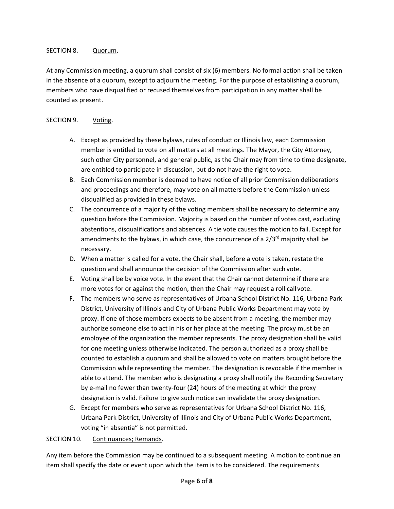# SECTION 8. Quorum.

At any Commission meeting, a quorum shall consist of six (6) members. No formal action shall be taken in the absence of a quorum, except to adjourn the meeting. For the purpose of establishing a quorum, members who have disqualified or recused themselves from participation in any matter shall be counted as present.

# SECTION 9. Voting.

- A. Except as provided by these bylaws, rules of conduct or Illinois law, each Commission member is entitled to vote on all matters at all meetings. The Mayor, the City Attorney, such other City personnel, and general public, as the Chair may from time to time designate, are entitled to participate in discussion, but do not have the right to vote.
- B. Each Commission member is deemed to have notice of all prior Commission deliberations and proceedings and therefore, may vote on all matters before the Commission unless disqualified as provided in these bylaws.
- C. The concurrence of a majority of the voting members shall be necessary to determine any question before the Commission. Majority is based on the number of votes cast, excluding abstentions, disqualifications and absences. A tie vote causes the motion to fail. Except for amendments to the bylaws, in which case, the concurrence of a  $2/3<sup>rd</sup>$  majority shall be necessary.
- D. When a matter is called for a vote, the Chair shall, before a vote is taken, restate the question and shall announce the decision of the Commission after such vote.
- E. Voting shall be by voice vote. In the event that the Chair cannot determine if there are more votes for or against the motion, then the Chair may request a roll call vote.
- F. The members who serve as representatives of Urbana School District No. 116, Urbana Park District, University of Illinois and City of Urbana Public Works Department may vote by proxy. If one of those members expects to be absent from a meeting, the member may authorize someone else to act in his or her place at the meeting. The proxy must be an employee of the organization the member represents. The proxy designation shall be valid for one meeting unless otherwise indicated. The person authorized as a proxy shall be counted to establish a quorum and shall be allowed to vote on matters brought before the Commission while representing the member. The designation is revocable if the member is able to attend. The member who is designating a proxy shall notify the Recording Secretary by e‐mail no fewer than twenty‐four (24) hours of the meeting at which the proxy designation is valid. Failure to give such notice can invalidate the proxy designation.
- G. Except for members who serve as representatives for Urbana School District No. 116, Urbana Park District, University of Illinois and City of Urbana Public Works Department, voting "in absentia" is not permitted.

### SECTION 10. Continuances; Remands.

Any item before the Commission may be continued to a subsequent meeting. A motion to continue an item shall specify the date or event upon which the item is to be considered. The requirements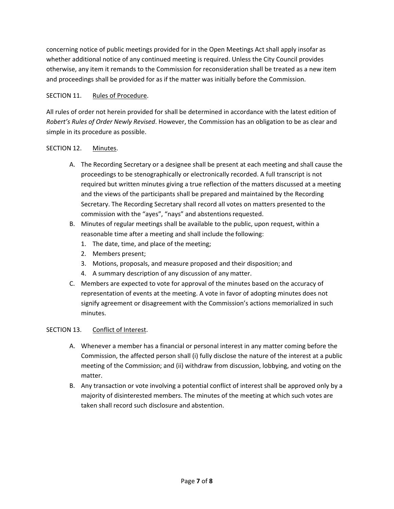concerning notice of public meetings provided for in the Open Meetings Act shall apply insofar as whether additional notice of any continued meeting is required. Unless the City Council provides otherwise, any item it remands to the Commission for reconsideration shall be treated as a new item and proceedings shall be provided for as if the matter was initially before the Commission.

# SECTION 11. Rules of Procedure.

All rules of order not herein provided for shall be determined in accordance with the latest edition of *Robert's Rules of Order Newly Revised*. However, the Commission has an obligation to be as clear and simple in its procedure as possible.

# SECTION 12. Minutes.

- A. The Recording Secretary or a designee shall be present at each meeting and shall cause the proceedings to be stenographically or electronically recorded. A full transcript is not required but written minutes giving a true reflection of the matters discussed at a meeting and the views of the participants shall be prepared and maintained by the Recording Secretary. The Recording Secretary shall record all votes on matters presented to the commission with the "ayes", "nays" and abstentions requested.
- B. Minutes of regular meetings shall be available to the public, upon request, within a reasonable time after a meeting and shall include the following:
	- 1. The date, time, and place of the meeting;
	- 2. Members present;
	- 3. Motions, proposals, and measure proposed and their disposition; and
	- 4. A summary description of any discussion of any matter.
- C. Members are expected to vote for approval of the minutes based on the accuracy of representation of events at the meeting. A vote in favor of adopting minutes does not signify agreement or disagreement with the Commission's actions memorialized in such minutes.

### SECTION 13. Conflict of Interest.

- A. Whenever a member has a financial or personal interest in any matter coming before the Commission, the affected person shall (i) fully disclose the nature of the interest at a public meeting of the Commission; and (ii) withdraw from discussion, lobbying, and voting on the matter.
- B. Any transaction or vote involving a potential conflict of interest shall be approved only by a majority of disinterested members. The minutes of the meeting at which such votes are taken shall record such disclosure and abstention.